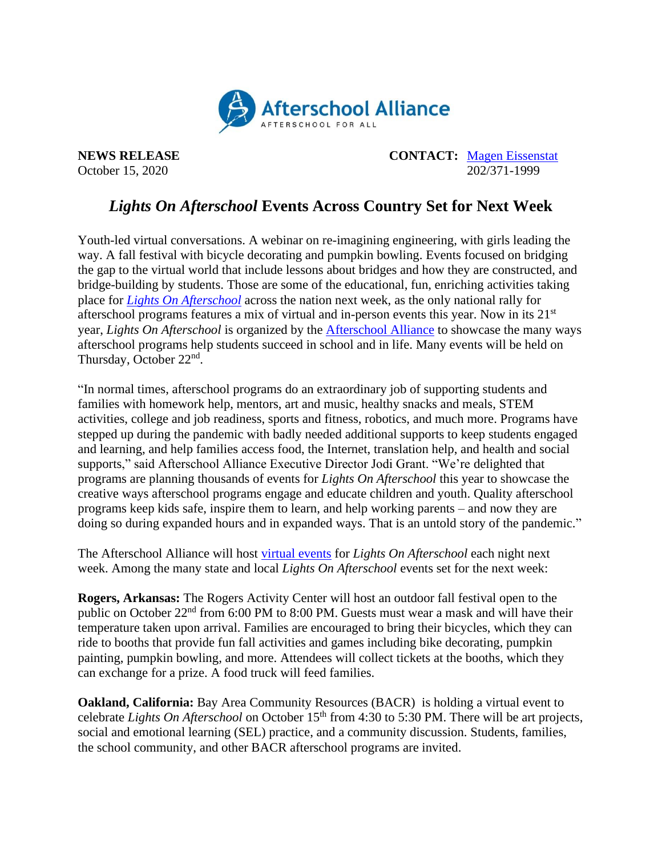

**NEWS RELEASE CONTACT:** [Magen Eissenstat](mailto:magen@prsolutionsdc.com) October 15, 2020 202/371-1999

## *Lights On Afterschool* **Events Across Country Set for Next Week**

Youth-led virtual conversations. A webinar on re-imagining engineering, with girls leading the way. A fall festival with bicycle decorating and pumpkin bowling. Events focused on bridging the gap to the virtual world that include lessons about bridges and how they are constructed, and bridge-building by students. Those are some of the educational, fun, enriching activities taking place for *[Lights On Afterschool](http://www.afterschoolalliance.org/loa.cfm)* across the nation next week, as the only national rally for afterschool programs features a mix of virtual and in-person events this year. Now in its 21st year, *Lights On Afterschool* is organized by the [Afterschool Alliance](http://www.afterschoolalliance.org/) to showcase the many ways afterschool programs help students succeed in school and in life. Many events will be held on Thursday, October 22<sup>nd</sup>.

"In normal times, afterschool programs do an extraordinary job of supporting students and families with homework help, mentors, art and music, healthy snacks and meals, STEM activities, college and job readiness, sports and fitness, robotics, and much more. Programs have stepped up during the pandemic with badly needed additional supports to keep students engaged and learning, and help families access food, the Internet, translation help, and health and social supports," said Afterschool Alliance Executive Director Jodi Grant. "We're delighted that programs are planning thousands of events for *Lights On Afterschool* this year to showcase the creative ways afterschool programs engage and educate children and youth. Quality afterschool programs keep kids safe, inspire them to learn, and help working parents – and now they are doing so during expanded hours and in expanded ways. That is an untold story of the pandemic."

The Afterschool Alliance will host [virtual events](http://www.afterschoolalliance.org/loaVirtualEvents.cfm) for *Lights On Afterschool* each night next week. Among the many state and local *Lights On Afterschool* events set for the next week:

**Rogers, Arkansas:** The Rogers Activity Center will host an outdoor fall festival open to the public on October 22nd from 6:00 PM to 8:00 PM. Guests must wear a mask and will have their temperature taken upon arrival. Families are encouraged to bring their bicycles, which they can ride to booths that provide fun fall activities and games including bike decorating, pumpkin painting, pumpkin bowling, and more. Attendees will collect tickets at the booths, which they can exchange for a prize. A food truck will feed families.

**Oakland, California:** Bay Area Community Resources (BACR) is holding a virtual event to celebrate *Lights On Afterschool* on October 15<sup>th</sup> from 4:30 to 5:30 PM. There will be art projects, social and emotional learning (SEL) practice, and a community discussion. Students, families, the school community, and other BACR afterschool programs are invited.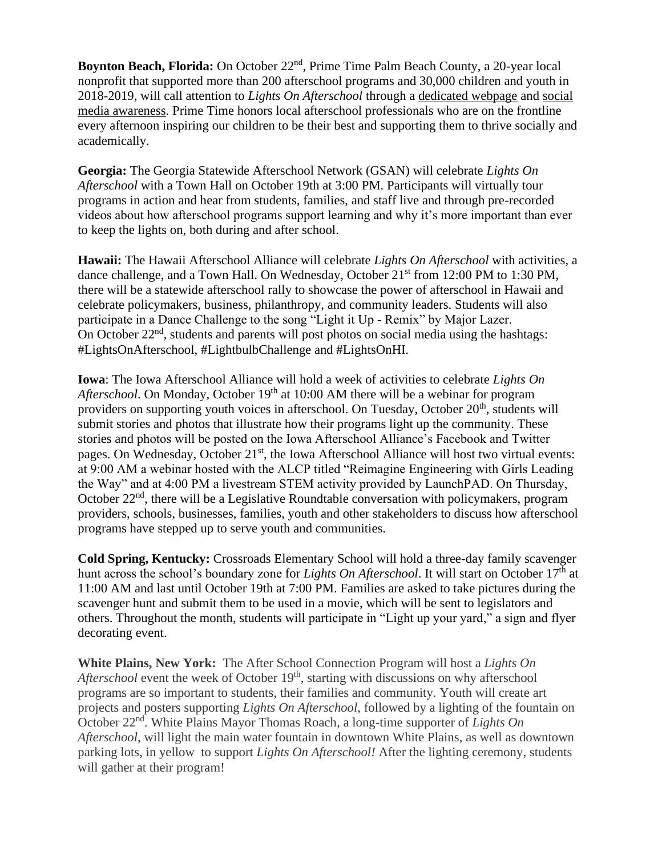Boynton Beach, Florida: On October 22<sup>nd</sup>, Prime Time Palm Beach County, a 20-year local nonprofit that supported more than 200 afterschool programs and 30,000 children and youth in 2018-2019, will call attention to *Lights On Afterschool* through a [dedicated webpage](https://www.primetimepbc.org/lights-on-afterschool/) and [social](https://www.facebook.com/PrimeTimePalmBeachCounty)  [media awareness.](https://www.facebook.com/PrimeTimePalmBeachCounty) Prime Time honors local afterschool professionals who are on the frontline every afternoon inspiring our children to be their best and supporting them to thrive socially and academically.

**Georgia:** The Georgia Statewide Afterschool Network (GSAN) will celebrate *Lights On Afterschool* with a Town Hall on October 19th at 3:00 PM. Participants will virtually tour programs in action and hear from students, families, and staff live and through pre-recorded videos about how afterschool programs support learning and why it's more important than ever to keep the lights on, both during and after school.

**Hawaii:** The Hawaii Afterschool Alliance will celebrate *Lights On Afterschool* with activities, a dance challenge, and a Town Hall. On Wednesday, October 21<sup>st</sup> from 12:00 PM to 1:30 PM, there will be a statewide afterschool rally to showcase the power of afterschool in Hawaii and celebrate policymakers, business, philanthropy, and community leaders. Students will also participate in a Dance Challenge to the song "Light it Up - Remix" by Major Lazer. On October 22<sup>nd</sup>, students and parents will post photos on social media using the hashtags: #LightsOnAfterschool, #LightbulbChallenge and #LightsOnHI.

**Iowa**: The Iowa Afterschool Alliance will hold a week of activities to celebrate *Lights On Afterschool*. On Monday, October 19<sup>th</sup> at 10:00 AM there will be a webinar for program providers on supporting youth voices in afterschool. On Tuesday, October 20<sup>th</sup>, students will submit stories and photos that illustrate how their programs light up the community. These stories and photos will be posted on the Iowa Afterschool Alliance's Facebook and Twitter pages. On Wednesday, October 21<sup>st</sup>, the Iowa Afterschool Alliance will host two virtual events: at 9:00 AM a webinar hosted with the ALCP titled "Reimagine Engineering with Girls Leading the Way" and at 4:00 PM a livestream STEM activity provided by LaunchPAD. On Thursday, October 22<sup>nd</sup>, there will be a Legislative Roundtable conversation with policymakers, program providers, schools, businesses, families, youth and other stakeholders to discuss how afterschool programs have stepped up to serve youth and communities.

**Cold Spring, Kentucky:** Crossroads Elementary School will hold a three-day family scavenger hunt across the school's boundary zone for *Lights On Afterschool*. It will start on October 17<sup>th</sup> at 11:00 AM and last until October 19th at 7:00 PM. Families are asked to take pictures during the scavenger hunt and submit them to be used in a movie, which will be sent to legislators and others. Throughout the month, students will participate in "Light up your yard," a sign and flyer decorating event.

**White Plains, New York:** The After School Connection Program will host a *Lights On*  Afterschool event the week of October 19<sup>th</sup>, starting with discussions on why afterschool programs are so important to students, their families and community. Youth will create art projects and posters supporting *Lights On Afterschool*, followed by a lighting of the fountain on October 22<sup>nd</sup>. White Plains Mayor Thomas Roach, a long-time supporter of *Lights On Afterschool*, will light the main water fountain in downtown White Plains, as well as downtown parking lots, in yellow to support *Lights On Afterschool!* After the lighting ceremony, students will gather at their program!